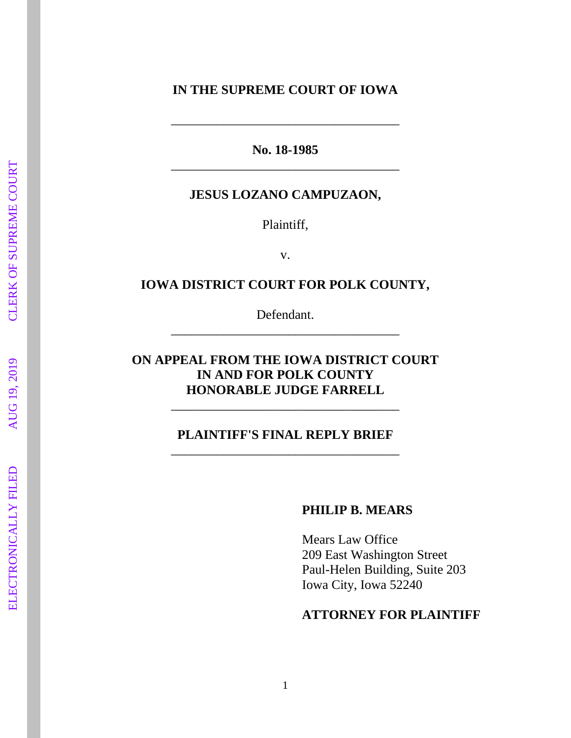### **IN THE SUPREME COURT OF IOWA**

**No. 18 -1985** \_\_\_\_\_\_\_\_\_\_\_\_\_\_\_\_\_\_\_\_\_\_\_\_\_\_\_\_\_\_\_\_\_\_\_

\_\_\_\_\_\_\_\_\_\_\_\_\_\_\_\_\_\_\_\_\_\_\_\_\_\_\_\_\_\_\_\_\_\_\_

#### **JESUS LOZANO CAMPUZAON,**

Plaintiff ,

v.

#### **IOWA DISTRICT COURT FOR POLK COUNTY ,**

Defendant. \_\_\_\_\_\_\_\_\_\_\_\_\_\_\_\_\_\_\_\_\_\_\_\_\_\_\_\_\_\_\_\_\_\_\_

## **ON APPEAL FROM THE IOWA DISTRICT COURT IN AND FOR POLK COUNTY HONORABLE JUDGE FARRELL**

\_\_\_\_\_\_\_\_\_\_\_\_\_\_\_\_\_\_\_\_\_\_\_\_\_\_\_\_\_\_\_\_\_\_\_

### **PLAINTIFF'S FINAL REPLY BRIEF** \_\_\_\_\_\_\_\_\_\_\_\_\_\_\_\_\_\_\_\_\_\_\_\_\_\_\_\_\_\_\_\_\_\_\_

#### **PHILIP B. MEARS**

Mears Law Office 209 East Washington Street Paul -Helen Building, Suite 203 Iowa City, Iowa 52240

### **ATTORNEY FOR PLAINTIFF**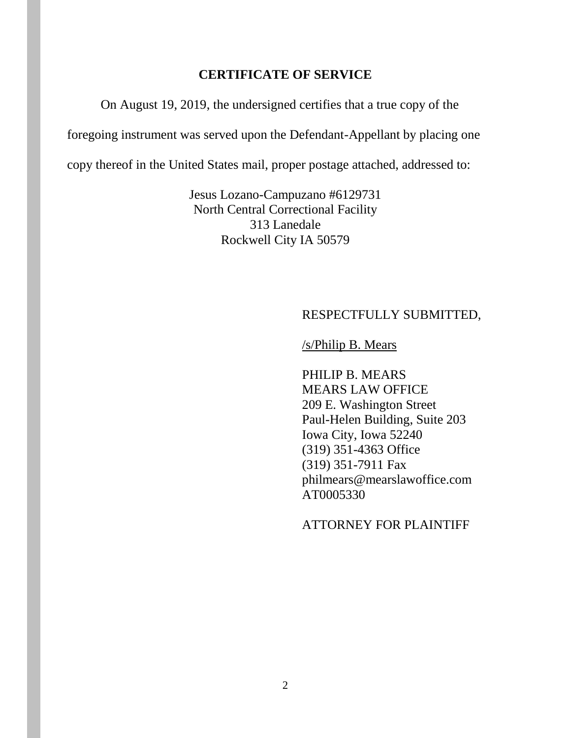### **CERTIFICATE OF SERVICE**

On August 19, 2019, the undersigned certifies that a true copy of the

foregoing instrument was served upon the Defendant-Appellant by placing one

copy thereof in the United States mail, proper postage attached, addressed to:

Jesus Lozano-Campuzano #6129731 North Central Correctional Facility 313 Lanedale Rockwell City IA 50579

### RESPECTFULLY SUBMITTED,

### /s/Philip B. Mears

PHILIP B. MEARS MEARS LAW OFFICE 209 E. Washington Street Paul-Helen Building, Suite 203 Iowa City, Iowa 52240 (319) 351-4363 Office (319) 351-7911 Fax philmears@mearslawoffice.com AT0005330

#### ATTORNEY FOR PLAINTIFF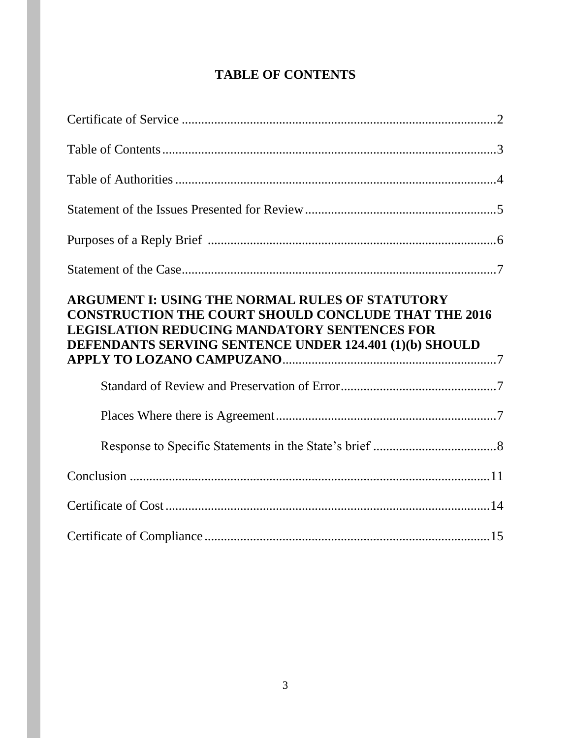# **TABLE OF CONTENTS**

| ARGUMENT I: USING THE NORMAL RULES OF STATUTORY<br><b>CONSTRUCTION THE COURT SHOULD CONCLUDE THAT THE 2016</b><br><b>LEGISLATION REDUCING MANDATORY SENTENCES FOR</b><br>DEFENDANTS SERVING SENTENCE UNDER 124.401 (1)(b) SHOULD |  |
|----------------------------------------------------------------------------------------------------------------------------------------------------------------------------------------------------------------------------------|--|
|                                                                                                                                                                                                                                  |  |
|                                                                                                                                                                                                                                  |  |
|                                                                                                                                                                                                                                  |  |
|                                                                                                                                                                                                                                  |  |
|                                                                                                                                                                                                                                  |  |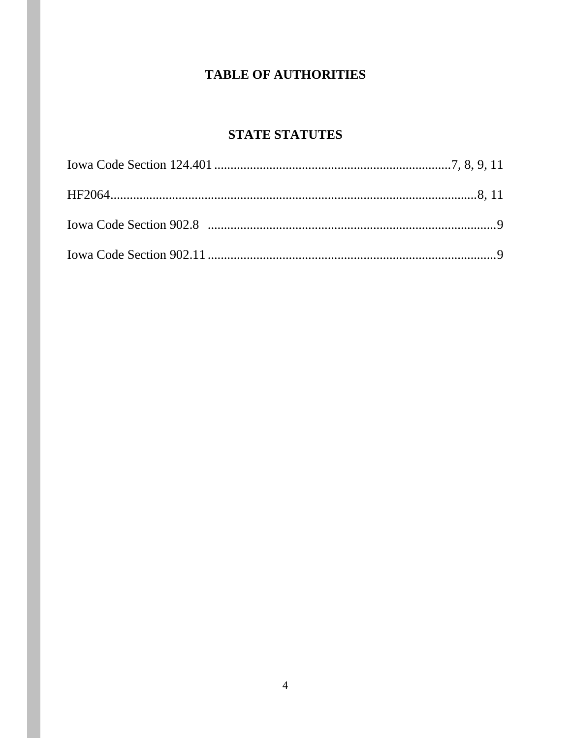## **TABLE OF AUTHORITIES**

## **STATE STATUTES**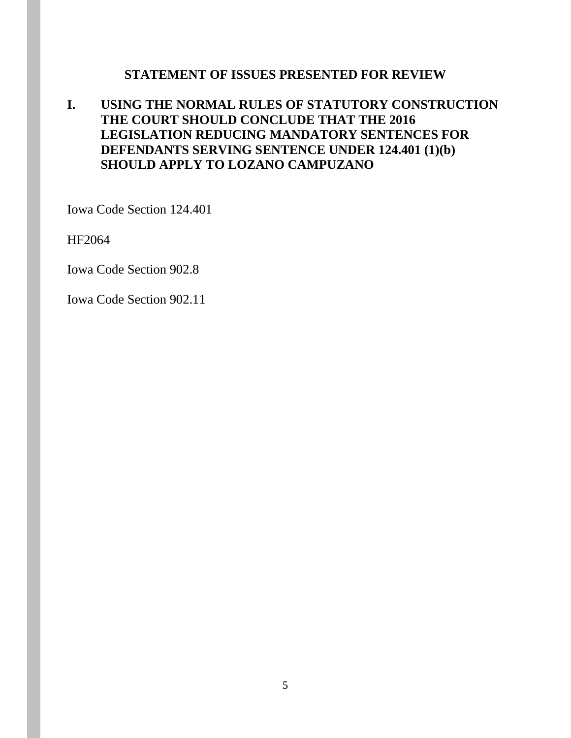### **STATEMENT OF ISSUES PRESENTED FOR REVIEW**

## **I. USING THE NORMAL RULES OF STATUTORY CONSTRUCTION THE COURT SHOULD CONCLUDE THAT THE 2016 LEGISLATION REDUCING MANDATORY SENTENCES FOR DEFENDANTS SERVING SENTENCE UNDER 124.401 (1)(b) SHOULD APPLY TO LOZANO CAMPUZANO**

Iowa Code Section 124.401

HF2064

Iowa Code Section 902.8

Iowa Code Section 902.11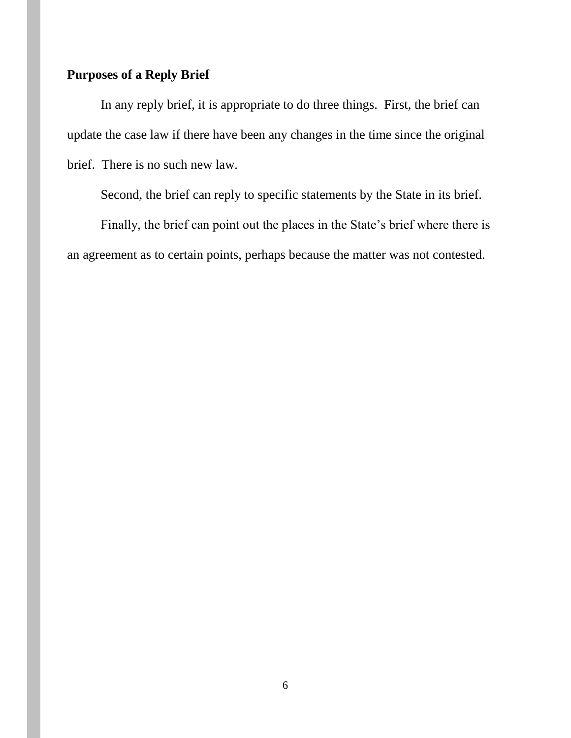## **Purposes of a Reply Brief**

In any reply brief, it is appropriate to do three things. First, the brief can update the case law if there have been any changes in the time since the original brief. There is no such new law.

Second, the brief can reply to specific statements by the State in its brief.

Finally, the brief can point out the places in the State's brief where there is an agreement as to certain points, perhaps because the matter was not contested.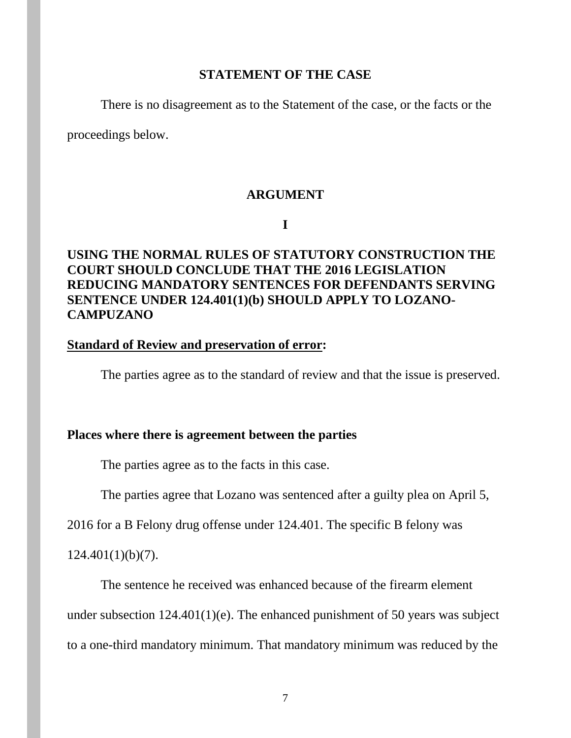#### **STATEMENT OF THE CASE**

There is no disagreement as to the Statement of the case, or the facts or the

proceedings below.

#### **ARGUMENT**

**I**

## **USING THE NORMAL RULES OF STATUTORY CONSTRUCTION THE COURT SHOULD CONCLUDE THAT THE 2016 LEGISLATION REDUCING MANDATORY SENTENCES FOR DEFENDANTS SERVING SENTENCE UNDER 124.401(1)(b) SHOULD APPLY TO LOZANO-CAMPUZANO**

### **Standard of Review and preservation of error:**

The parties agree as to the standard of review and that the issue is preserved.

#### **Places where there is agreement between the parties**

The parties agree as to the facts in this case.

The parties agree that Lozano was sentenced after a guilty plea on April 5,

2016 for a B Felony drug offense under 124.401. The specific B felony was

 $124.401(1)(b)(7)$ .

The sentence he received was enhanced because of the firearm element

under subsection 124.401(1)(e). The enhanced punishment of 50 years was subject

to a one-third mandatory minimum. That mandatory minimum was reduced by the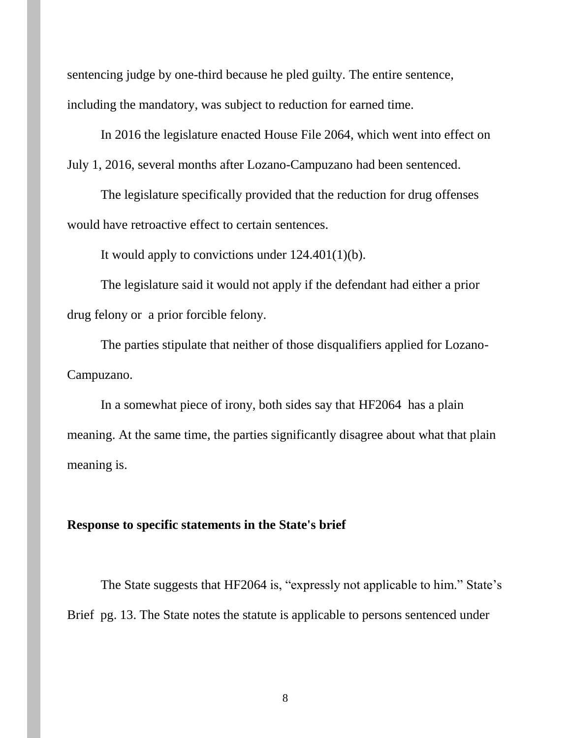sentencing judge by one-third because he pled guilty. The entire sentence, including the mandatory, was subject to reduction for earned time.

In 2016 the legislature enacted House File 2064, which went into effect on July 1, 2016, several months after Lozano-Campuzano had been sentenced.

The legislature specifically provided that the reduction for drug offenses would have retroactive effect to certain sentences.

It would apply to convictions under 124.401(1)(b).

The legislature said it would not apply if the defendant had either a prior drug felony or a prior forcible felony.

The parties stipulate that neither of those disqualifiers applied for Lozano-Campuzano.

In a somewhat piece of irony, both sides say that HF2064 has a plain meaning. At the same time, the parties significantly disagree about what that plain meaning is.

### **Response to specific statements in the State's brief**

The State suggests that HF2064 is, "expressly not applicable to him." State's Brief pg. 13. The State notes the statute is applicable to persons sentenced under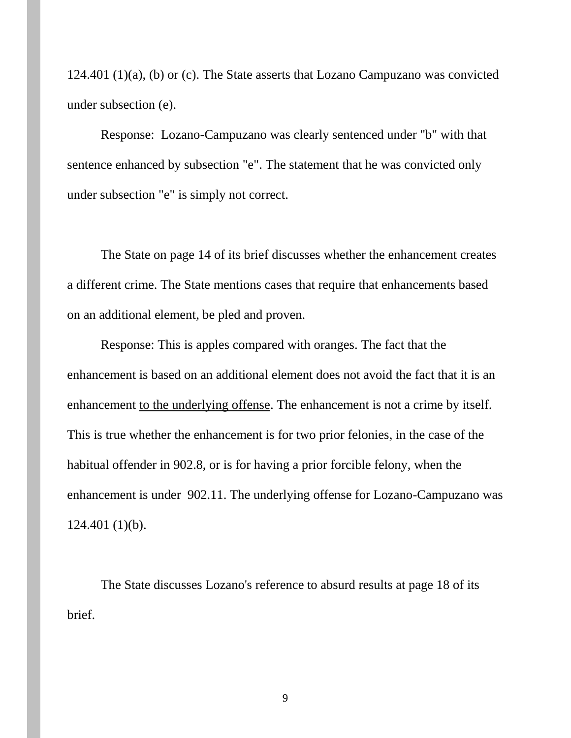124.401 (1)(a), (b) or (c). The State asserts that Lozano Campuzano was convicted under subsection (e).

Response: Lozano-Campuzano was clearly sentenced under "b" with that sentence enhanced by subsection "e". The statement that he was convicted only under subsection "e" is simply not correct.

The State on page 14 of its brief discusses whether the enhancement creates a different crime. The State mentions cases that require that enhancements based on an additional element, be pled and proven.

Response: This is apples compared with oranges. The fact that the enhancement is based on an additional element does not avoid the fact that it is an enhancement to the underlying offense. The enhancement is not a crime by itself. This is true whether the enhancement is for two prior felonies, in the case of the habitual offender in 902.8, or is for having a prior forcible felony, when the enhancement is under 902.11. The underlying offense for Lozano-Campuzano was 124.401 (1)(b).

The State discusses Lozano's reference to absurd results at page 18 of its brief.

9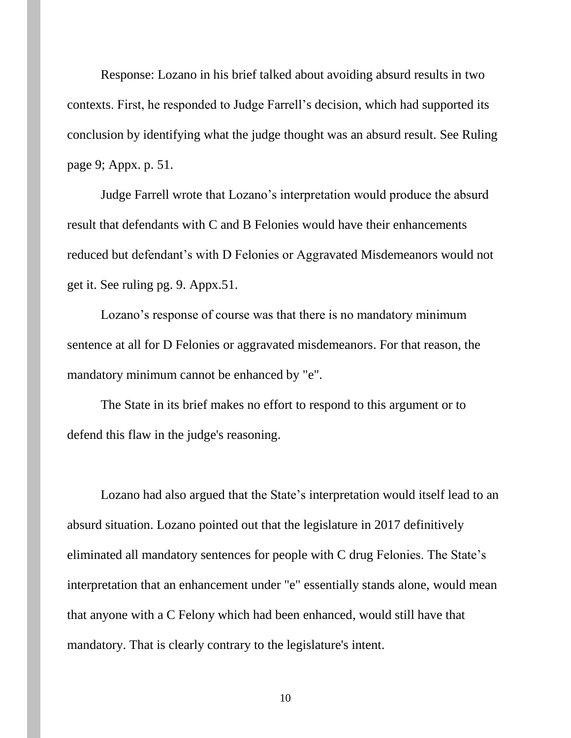Response: Lozano in his brief talked about avoiding absurd results in two contexts. First, he responded to Judge Farrell's decision, which had supported its conclusion by identifying what the judge thought was an absurd result. See Ruling page 9; Appx. p. 51.

Judge Farrell wrote that Lozano's interpretation would produce the absurd result that defendants with C and B Felonies would have their enhancements reduced but defendant's with D Felonies or Aggravated Misdemeanors would not get it. See ruling pg. 9. Appx.51.

Lozano's response of course was that there is no mandatory minimum sentence at all for D Felonies or aggravated misdemeanors. For that reason, the mandatory minimum cannot be enhanced by "e".

The State in its brief makes no effort to respond to this argument or to defend this flaw in the judge's reasoning.

Lozano had also argued that the State's interpretation would itself lead to an absurd situation. Lozano pointed out that the legislature in 2017 definitively eliminated all mandatory sentences for people with C drug Felonies. The State's interpretation that an enhancement under "e" essentially stands alone, would mean that anyone with a C Felony which had been enhanced, would still have that mandatory. That is clearly contrary to the legislature's intent.

10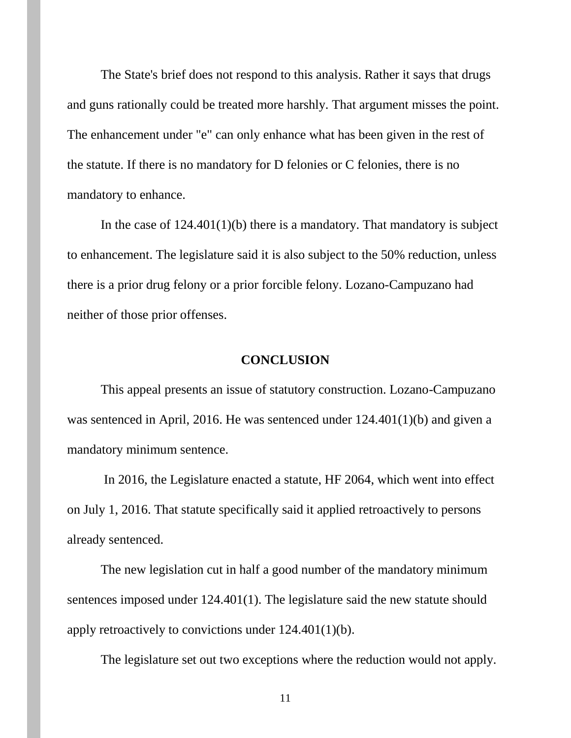The State's brief does not respond to this analysis. Rather it says that drugs and guns rationally could be treated more harshly. That argument misses the point. The enhancement under "e" can only enhance what has been given in the rest of the statute. If there is no mandatory for D felonies or C felonies, there is no mandatory to enhance.

In the case of  $124.401(1)(b)$  there is a mandatory. That mandatory is subject to enhancement. The legislature said it is also subject to the 50% reduction, unless there is a prior drug felony or a prior forcible felony. Lozano-Campuzano had neither of those prior offenses.

#### **CONCLUSION**

This appeal presents an issue of statutory construction. Lozano-Campuzano was sentenced in April, 2016. He was sentenced under 124.401(1)(b) and given a mandatory minimum sentence.

In 2016, the Legislature enacted a statute, HF 2064, which went into effect on July 1, 2016. That statute specifically said it applied retroactively to persons already sentenced.

The new legislation cut in half a good number of the mandatory minimum sentences imposed under 124.401(1). The legislature said the new statute should apply retroactively to convictions under 124.401(1)(b).

The legislature set out two exceptions where the reduction would not apply.

11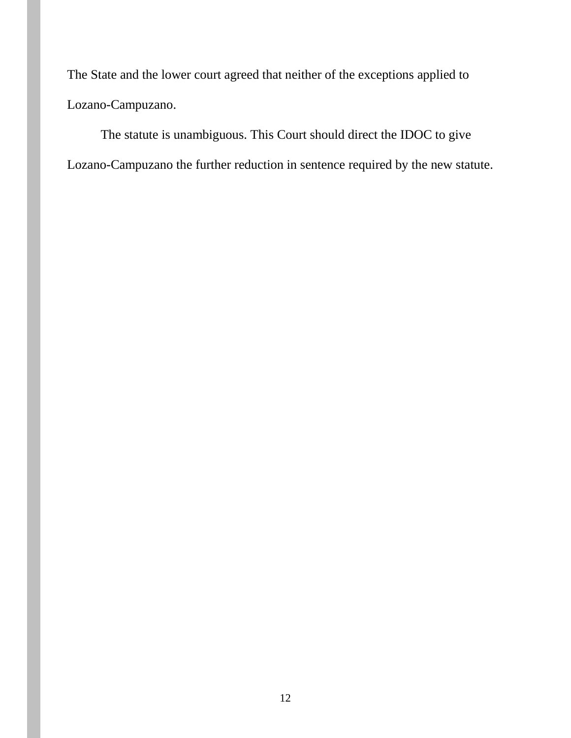The State and the lower court agreed that neither of the exceptions applied to Lozano-Campuzano.

The statute is unambiguous. This Court should direct the IDOC to give Lozano-Campuzano the further reduction in sentence required by the new statute.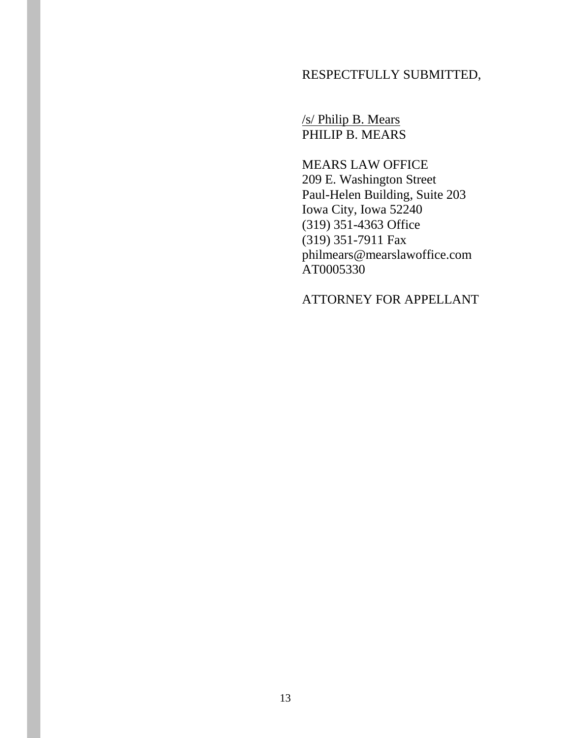## RESPECTFULLY SUBMITTED,

/s/ Philip B. Mears PHILIP B. MEARS

MEARS LAW OFFICE 209 E. Washington Street Paul-Helen Building, Suite 203 Iowa City, Iowa 52240 (319) 351-4363 Office (319) 351-7911 Fax philmears@mearslawoffice.com AT0005330

ATTORNEY FOR APPELLANT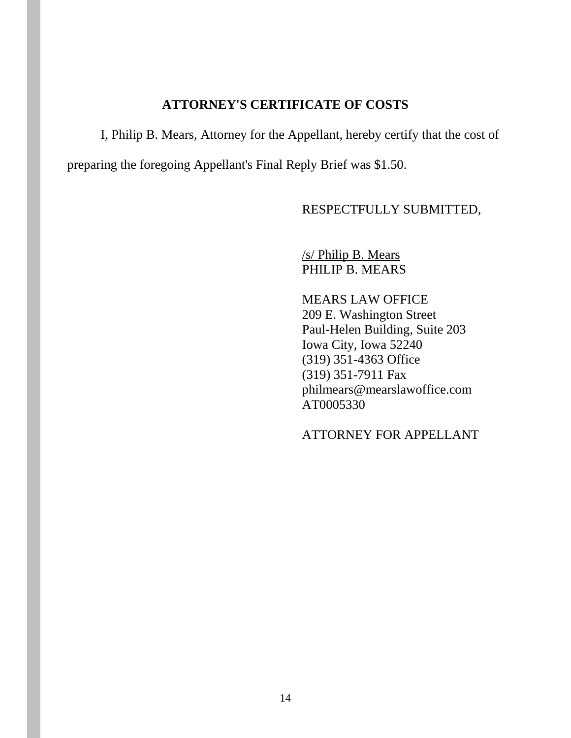## **ATTORNEY'S CERTIFICATE OF COSTS**

I, Philip B. Mears, Attorney for the Appellant, hereby certify that the cost of preparing the foregoing Appellant's Final Reply Brief was \$1.50.

RESPECTFULLY SUBMITTED,

/s/ Philip B. Mears PHILIP B. MEARS

MEARS LAW OFFICE 209 E. Washington Street Paul-Helen Building, Suite 203 Iowa City, Iowa 52240 (319) 351-4363 Office (319) 351-7911 Fax philmears@mearslawoffice.com AT0005330

ATTORNEY FOR APPELLANT